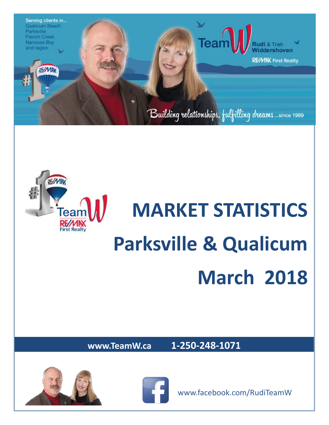



# **MARKET STATISTICS Parksville & Qualicum March 2018**

**www.TeamW.ca 1-250-248-1071** 





www.facebook.com/RudiTeamW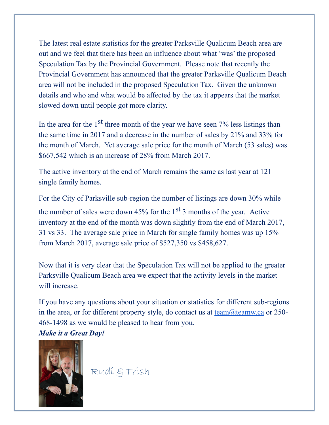The latest real estate statistics for the greater Parksville Qualicum Beach area are out and we feel that there has been an influence about what 'was' the proposed Speculation Tax by the Provincial Government. Please note that recently the Provincial Government has announced that the greater Parksville Qualicum Beach area will not be included in the proposed Speculation Tax. Given the unknown details and who and what would be affected by the tax it appears that the market slowed down until people got more clarity.

In the area for the  $1<sup>st</sup>$  three month of the year we have seen 7% less listings than the same time in 2017 and a decrease in the number of sales by 21% and 33% for the month of March. Yet average sale price for the month of March (53 sales) was \$667,542 which is an increase of 28% from March 2017.

The active inventory at the end of March remains the same as last year at 121 single family homes.

For the City of Parksville sub-region the number of listings are down 30% while the number of sales were down  $45\%$  for the 1<sup>st</sup> 3 months of the year. Active inventory at the end of the month was down slightly from the end of March 2017, 31 vs 33. The average sale price in March for single family homes was up 15% from March 2017, average sale price of \$527,350 vs \$458,627.

Now that it is very clear that the Speculation Tax will not be applied to the greater Parksville Qualicum Beach area we expect that the activity levels in the market will increase.

If you have any questions about your situation or statistics for different sub-regions in the area, or for different property style, do contact us at  $team@teamw.ca$  $team@teamw.ca$  $team@teamw.ca$  or 250-</u> 468-1498 as we would be pleased to hear from you. *Make it a Great Day!*



Rudi & Trish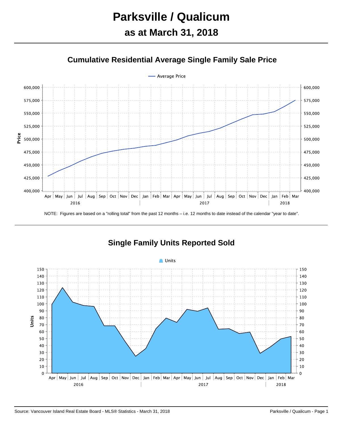



**Single Family Units Reported Sold**

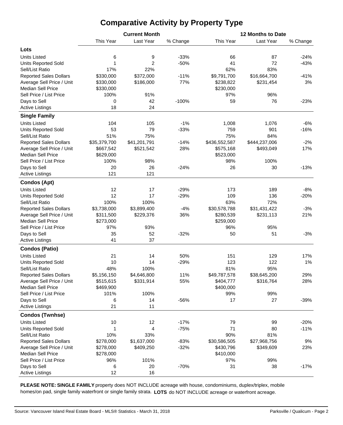# **Comparative Activity by Property Type**

|                                        |                   | <b>Current Month</b> |          | 12 Months to Date |                           |                 |  |  |  |  |
|----------------------------------------|-------------------|----------------------|----------|-------------------|---------------------------|-----------------|--|--|--|--|
|                                        | This Year         | Last Year            | % Change | This Year         | Last Year                 | % Change        |  |  |  |  |
| Lots                                   |                   |                      |          |                   |                           |                 |  |  |  |  |
| <b>Units Listed</b>                    | 6                 | 9                    | $-33%$   | 66                | 87                        | $-24%$          |  |  |  |  |
| <b>Units Reported Sold</b>             | 1                 | $\overline{2}$       | $-50%$   | 41                | 72                        | $-43%$          |  |  |  |  |
| Sell/List Ratio                        | 17%               | 22%                  |          | 62%               | 83%                       |                 |  |  |  |  |
| <b>Reported Sales Dollars</b>          | \$330,000         | \$372,000            | $-11%$   | \$9,791,700       | \$16,664,700              | $-41%$          |  |  |  |  |
| Average Sell Price / Unit              | \$330,000         | \$186,000            | 77%      | \$238,822         | \$231,454                 | 3%              |  |  |  |  |
| <b>Median Sell Price</b>               | \$330,000         |                      |          | \$230,000         |                           |                 |  |  |  |  |
| Sell Price / List Price                | 100%              | 91%                  |          | 97%               | 96%                       |                 |  |  |  |  |
| Days to Sell                           | 0                 | 42                   | $-100%$  | 59                | 76                        | $-23%$          |  |  |  |  |
| <b>Active Listings</b>                 | 18                | 24                   |          |                   |                           |                 |  |  |  |  |
| <b>Single Family</b>                   |                   |                      |          |                   |                           |                 |  |  |  |  |
| <b>Units Listed</b>                    | 104               | 105                  | $-1%$    | 1,008             | 1,076                     | $-6%$           |  |  |  |  |
| <b>Units Reported Sold</b>             | 53                | 79                   | $-33%$   | 759               | 901                       | $-16%$          |  |  |  |  |
| Sell/List Ratio                        | 51%               | 75%                  |          | 75%               | 84%                       |                 |  |  |  |  |
| <b>Reported Sales Dollars</b>          | \$35,379,700      | \$41,201,791         | $-14%$   | \$436,552,587     | \$444,237,006             | $-2%$           |  |  |  |  |
| Average Sell Price / Unit              | \$667,542         | \$521,542            | 28%      | \$575,168         | \$493,049                 | 17%             |  |  |  |  |
| <b>Median Sell Price</b>               | \$629,000         |                      |          | \$523,000         |                           |                 |  |  |  |  |
| Sell Price / List Price                | 100%              | 98%                  |          | 98%               | 100%                      |                 |  |  |  |  |
| Days to Sell                           | 20                | 26                   | $-24%$   | 26                | 30                        | $-13%$          |  |  |  |  |
| <b>Active Listings</b>                 | 121               | 121                  |          |                   |                           |                 |  |  |  |  |
| <b>Condos (Apt)</b>                    |                   |                      |          |                   |                           |                 |  |  |  |  |
| <b>Units Listed</b>                    | 12                | 17                   | $-29%$   | 173               | 189                       |                 |  |  |  |  |
| <b>Units Reported Sold</b>             | 12                | 17                   | $-29%$   | 109               | 136                       | $-8%$<br>$-20%$ |  |  |  |  |
| Sell/List Ratio                        | 100%              | 100%                 |          | 63%               | 72%                       |                 |  |  |  |  |
| <b>Reported Sales Dollars</b>          | \$3,738,000       | \$3,899,400          | $-4%$    | \$30,578,788      | \$31,431,422              | $-3%$           |  |  |  |  |
| Average Sell Price / Unit              | \$311,500         | \$229,376            | 36%      | \$280,539         | \$231,113                 | 21%             |  |  |  |  |
| <b>Median Sell Price</b>               | \$273,000         |                      |          | \$259,000         |                           |                 |  |  |  |  |
| Sell Price / List Price                | 97%               | 93%                  |          | 96%               | 95%                       |                 |  |  |  |  |
|                                        | 35                | 52                   | $-32%$   | 50                | 51                        | $-3%$           |  |  |  |  |
| Days to Sell<br><b>Active Listings</b> | 41                | 37                   |          |                   |                           |                 |  |  |  |  |
| <b>Condos (Patio)</b>                  |                   |                      |          |                   |                           |                 |  |  |  |  |
| <b>Units Listed</b>                    | 21                | 14                   | 50%      | 151               | 129                       | 17%             |  |  |  |  |
| Units Reported Sold                    | 10                | 14                   | $-29%$   | 123               | 122                       | 1%              |  |  |  |  |
| Sell/List Ratio                        |                   |                      |          |                   | 95%                       |                 |  |  |  |  |
| <b>Reported Sales Dollars</b>          | 48%               | 100%<br>\$4,646,800  | 11%      | 81%               |                           | 29%             |  |  |  |  |
| Average Sell Price / Unit              | \$5,156,150       |                      | 55%      | \$49,787,578      | \$38,645,200<br>\$316,764 | 28%             |  |  |  |  |
| <b>Median Sell Price</b>               | \$515,615         | \$331,914            |          | \$404,777         |                           |                 |  |  |  |  |
| Sell Price / List Price                | \$469,900<br>101% | 100%                 |          | \$400,000<br>99%  | 99%                       |                 |  |  |  |  |
| Days to Sell                           | 6                 | 14                   | -56%     | 17                | 27                        | $-39%$          |  |  |  |  |
| <b>Active Listings</b>                 | 21                | 11                   |          |                   |                           |                 |  |  |  |  |
| <b>Condos (Twnhse)</b>                 |                   |                      |          |                   |                           |                 |  |  |  |  |
| <b>Units Listed</b>                    | 10                | 12                   | $-17%$   | 79                | 99                        | $-20%$          |  |  |  |  |
| <b>Units Reported Sold</b>             | 1                 | 4                    | $-75%$   | 71                | 80                        | $-11%$          |  |  |  |  |
| Sell/List Ratio                        | 10%               | 33%                  |          | 90%               | 81%                       |                 |  |  |  |  |
| <b>Reported Sales Dollars</b>          | \$278,000         | \$1,637,000          | $-83%$   | \$30,586,505      | \$27,968,756              | 9%              |  |  |  |  |
| Average Sell Price / Unit              | \$278,000         | \$409,250            | $-32%$   | \$430,796         | \$349,609                 | 23%             |  |  |  |  |
| <b>Median Sell Price</b>               | \$278,000         |                      |          | \$410,000         |                           |                 |  |  |  |  |
| Sell Price / List Price                | 96%               | 101%                 |          | 97%               | 99%                       |                 |  |  |  |  |
| Days to Sell                           | 6                 | 20                   | $-70%$   | 31                | 38                        | $-17%$          |  |  |  |  |
| <b>Active Listings</b>                 | 12                | 16                   |          |                   |                           |                 |  |  |  |  |
|                                        |                   |                      |          |                   |                           |                 |  |  |  |  |

**PLEASE NOTE: SINGLE FAMILY** property does NOT INCLUDE acreage with house, condominiums, duplex/triplex, mobile homes/on pad, single family waterfront or single family strata. **LOTS** do NOT INCLUDE acreage or waterfront acreage.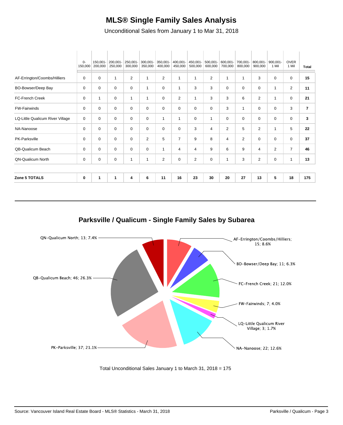### **MLS® Single Family Sales Analysis**

Unconditional Sales from January 1 to Mar 31, 2018

| <b>QN-Qualicum North</b>         | 0             | 0                   | 0                   | $\mathbf{1}$        | 1                   | $\overline{2}$      | 0                   | 2                   | 0                      | 1                   | 3                   | $\overline{2}$      | $\mathbf 0$       | 1                    | 13             |
|----------------------------------|---------------|---------------------|---------------------|---------------------|---------------------|---------------------|---------------------|---------------------|------------------------|---------------------|---------------------|---------------------|-------------------|----------------------|----------------|
| QB-Qualicum Beach                | 0             | 0                   | 0                   | 0                   | 0                   | 1                   | 4                   | 4                   | 9                      | 6                   | 9                   | 4                   | $\overline{2}$    | $\overline{7}$       | 46             |
| PK-Parksville                    | 0             | 0                   | 0                   | 0                   | $\overline{2}$      | 5                   | $\overline{7}$      | 9                   | 8                      | 4                   | 2                   | $\Omega$            | $\Omega$          | $\Omega$             | 37             |
| NA-Nanoose                       | 0             | 0                   | 0                   | 0                   | 0                   | 0                   | 0                   | 3                   | 4                      | 2                   | 5                   | $\overline{2}$      | 1                 | 5                    | 22             |
| LQ-Little Qualicum River Village | 0             | 0                   | 0                   | $\mathbf 0$         | 0                   | 1                   | 1                   | 0                   | 1                      | 0                   | 0                   | $\mathbf 0$         | 0                 | 0                    | 3              |
| <b>FW-Fairwinds</b>              | 0             | 0                   | 0                   | 0                   | 0                   | 0                   | 0                   | 0                   | 0                      | 3                   | 1                   | $\Omega$            | $\Omega$          | 3                    | $\overline{7}$ |
| FC-French Creek                  | 0             | 1                   | 0                   | $\mathbf{1}$        | $\mathbf{1}$        | 0                   | 2                   | 1                   | 3                      | 3                   | 6                   | $\overline{2}$      | 1                 | $\Omega$             | 21             |
| BO-Bowser/Deep Bay               | 0             | $\mathbf 0$         | $\mathbf 0$         | $\mathbf 0$         | 1                   | $\Omega$            | 1                   | 3                   | 3                      | $\Omega$            | $\Omega$            | $\Omega$            | 1                 | 2                    | 11             |
| AF-Errington/Coombs/Hilliers     | 0             | 0                   | 1                   | 2                   | 1                   | $\overline{2}$      | 1                   |                     | 2                      | 1                   | -1                  | 3                   | $\Omega$          | 0                    | 15             |
|                                  | 0-<br>150,000 | 150,001-<br>200,000 | 200,001-<br>250,000 | 250,001-<br>300,000 | 300,001-<br>350,000 | 350,001-<br>400,000 | 400,001-<br>450,000 | 450,001-<br>500,000 | $500,001 -$<br>600,000 | 600,001-<br>700,000 | 700,001-<br>800,000 | 800,001-<br>900,000 | 900.001-<br>1 Mil | <b>OVER</b><br>1 Mil | <b>Total</b>   |

**Parksville / Qualicum - Single Family Sales by Subarea**



Total Unconditional Sales January 1 to March 31, 2018 = 175